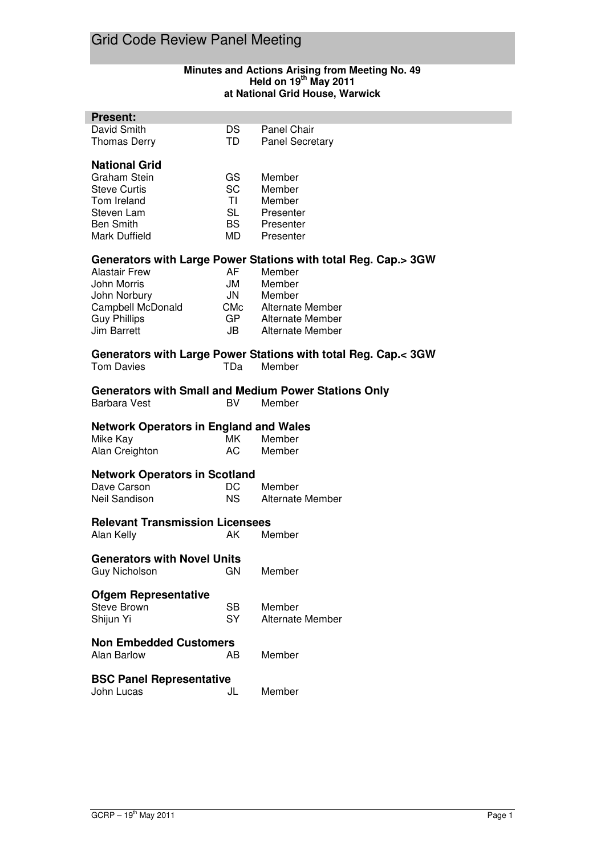### **Minutes and Actions Arising from Meeting No. 49 Held on 19th May 2011 at National Grid House, Warwick**

| <b>Present:</b>                                                |            |                         |
|----------------------------------------------------------------|------------|-------------------------|
| David Smith                                                    | <b>DS</b>  | <b>Panel Chair</b>      |
| <b>Thomas Derry</b>                                            | TD         | <b>Panel Secretary</b>  |
|                                                                |            |                         |
| <b>National Grid</b>                                           |            |                         |
| Graham Stein                                                   | GS         | Member                  |
| <b>Steve Curtis</b>                                            | SC         | Member                  |
| Tom Ireland                                                    | <b>TI</b>  | Member                  |
| Steven Lam                                                     | <b>SL</b>  | Presenter               |
| <b>Ben Smith</b>                                               | <b>BS</b>  | Presenter               |
| Mark Duffield                                                  | MD         | Presenter               |
|                                                                |            |                         |
| Generators with Large Power Stations with total Reg. Cap.> 3GW |            |                         |
| <b>Alastair Frew</b>                                           | AF         | Member                  |
| John Morris                                                    | JM         | Member                  |
| John Norbury                                                   | <b>JN</b>  | Member                  |
| Campbell McDonald                                              | <b>CMc</b> | Alternate Member        |
| <b>Guy Phillips</b>                                            | GP         | Alternate Member        |
| <b>Jim Barrett</b>                                             | JB         | Alternate Member        |
|                                                                |            |                         |
| Generators with Large Power Stations with total Reg. Cap.< 3GW |            |                         |
| <b>Tom Davies</b>                                              | <b>TDa</b> | Member                  |
|                                                                |            |                         |
| <b>Generators with Small and Medium Power Stations Only</b>    |            |                         |
| <b>Barbara Vest</b>                                            | <b>BV</b>  | Member                  |
|                                                                |            |                         |
|                                                                |            |                         |
| <b>Network Operators in England and Wales</b>                  |            |                         |
| Mike Kay                                                       | MK.        | Member                  |
| Alan Creighton                                                 | AC         | Member                  |
|                                                                |            |                         |
| <b>Network Operators in Scotland</b>                           |            |                         |
| Dave Carson                                                    | DC         | Member                  |
| Neil Sandison                                                  | <b>NS</b>  | <b>Alternate Member</b> |
|                                                                |            |                         |
| <b>Relevant Transmission Licensees</b>                         |            |                         |
| Alan Kelly                                                     | AK         | Member                  |
|                                                                |            |                         |
| <b>Generators with Novel Units</b>                             |            |                         |
| <b>Guy Nicholson</b>                                           | GN         | Member                  |
|                                                                |            |                         |
| <b>Ofgem Representative</b>                                    |            |                         |
| <b>Steve Brown</b>                                             | <b>SB</b>  | Member                  |
| Shijun Yi                                                      | SY         | Alternate Member        |
|                                                                |            |                         |
| <b>Non Embedded Customers</b>                                  |            |                         |
| <b>Alan Barlow</b>                                             | AB         | Member                  |
|                                                                |            |                         |
| <b>BSC Panel Representative</b><br>John Lucas                  | JL         | Member                  |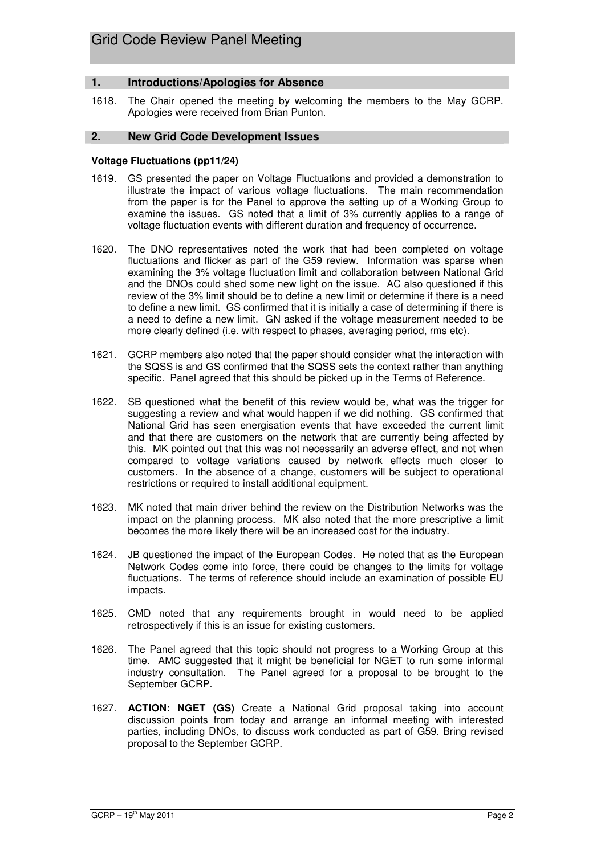### **1. Introductions/Apologies for Absence**

1618. The Chair opened the meeting by welcoming the members to the May GCRP. Apologies were received from Brian Punton.

### **2. New Grid Code Development Issues**

### **Voltage Fluctuations (pp11/24)**

- 1619. GS presented the paper on Voltage Fluctuations and provided a demonstration to illustrate the impact of various voltage fluctuations. The main recommendation from the paper is for the Panel to approve the setting up of a Working Group to examine the issues. GS noted that a limit of 3% currently applies to a range of voltage fluctuation events with different duration and frequency of occurrence.
- 1620. The DNO representatives noted the work that had been completed on voltage fluctuations and flicker as part of the G59 review. Information was sparse when examining the 3% voltage fluctuation limit and collaboration between National Grid and the DNOs could shed some new light on the issue. AC also questioned if this review of the 3% limit should be to define a new limit or determine if there is a need to define a new limit. GS confirmed that it is initially a case of determining if there is a need to define a new limit. GN asked if the voltage measurement needed to be more clearly defined (i.e. with respect to phases, averaging period, rms etc).
- 1621. GCRP members also noted that the paper should consider what the interaction with the SQSS is and GS confirmed that the SQSS sets the context rather than anything specific. Panel agreed that this should be picked up in the Terms of Reference.
- 1622. SB questioned what the benefit of this review would be, what was the trigger for suggesting a review and what would happen if we did nothing. GS confirmed that National Grid has seen energisation events that have exceeded the current limit and that there are customers on the network that are currently being affected by this. MK pointed out that this was not necessarily an adverse effect, and not when compared to voltage variations caused by network effects much closer to customers. In the absence of a change, customers will be subject to operational restrictions or required to install additional equipment.
- 1623. MK noted that main driver behind the review on the Distribution Networks was the impact on the planning process. MK also noted that the more prescriptive a limit becomes the more likely there will be an increased cost for the industry.
- 1624. JB questioned the impact of the European Codes. He noted that as the European Network Codes come into force, there could be changes to the limits for voltage fluctuations. The terms of reference should include an examination of possible EU impacts.
- 1625. CMD noted that any requirements brought in would need to be applied retrospectively if this is an issue for existing customers.
- 1626. The Panel agreed that this topic should not progress to a Working Group at this time. AMC suggested that it might be beneficial for NGET to run some informal industry consultation. The Panel agreed for a proposal to be brought to the September GCRP.
- 1627. **ACTION: NGET (GS)** Create a National Grid proposal taking into account discussion points from today and arrange an informal meeting with interested parties, including DNOs, to discuss work conducted as part of G59. Bring revised proposal to the September GCRP.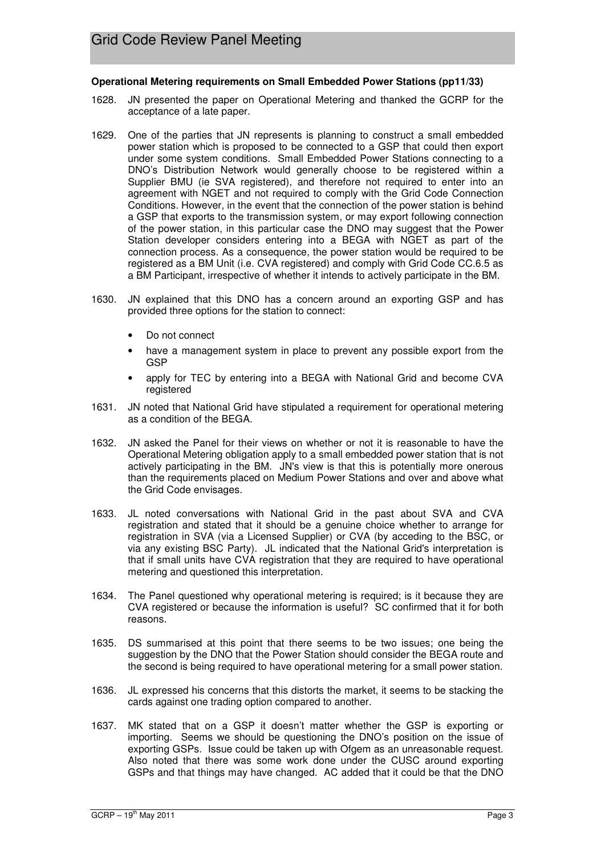### **Operational Metering requirements on Small Embedded Power Stations (pp11/33)**

- 1628. JN presented the paper on Operational Metering and thanked the GCRP for the acceptance of a late paper.
- 1629. One of the parties that JN represents is planning to construct a small embedded power station which is proposed to be connected to a GSP that could then export under some system conditions. Small Embedded Power Stations connecting to a DNO's Distribution Network would generally choose to be registered within a Supplier BMU (ie SVA registered), and therefore not required to enter into an agreement with NGET and not required to comply with the Grid Code Connection Conditions. However, in the event that the connection of the power station is behind a GSP that exports to the transmission system, or may export following connection of the power station, in this particular case the DNO may suggest that the Power Station developer considers entering into a BEGA with NGET as part of the connection process. As a consequence, the power station would be required to be registered as a BM Unit (i.e. CVA registered) and comply with Grid Code CC.6.5 as a BM Participant, irrespective of whether it intends to actively participate in the BM.
- 1630. JN explained that this DNO has a concern around an exporting GSP and has provided three options for the station to connect:
	- Do not connect
	- have a management system in place to prevent any possible export from the **GSP**
	- apply for TEC by entering into a BEGA with National Grid and become CVA registered
- 1631. JN noted that National Grid have stipulated a requirement for operational metering as a condition of the BEGA.
- 1632. JN asked the Panel for their views on whether or not it is reasonable to have the Operational Metering obligation apply to a small embedded power station that is not actively participating in the BM. JN's view is that this is potentially more onerous than the requirements placed on Medium Power Stations and over and above what the Grid Code envisages.
- 1633. JL noted conversations with National Grid in the past about SVA and CVA registration and stated that it should be a genuine choice whether to arrange for registration in SVA (via a Licensed Supplier) or CVA (by acceding to the BSC, or via any existing BSC Party). JL indicated that the National Grid's interpretation is that if small units have CVA registration that they are required to have operational metering and questioned this interpretation.
- 1634. The Panel questioned why operational metering is required; is it because they are CVA registered or because the information is useful? SC confirmed that it for both reasons.
- 1635. DS summarised at this point that there seems to be two issues; one being the suggestion by the DNO that the Power Station should consider the BEGA route and the second is being required to have operational metering for a small power station.
- 1636. JL expressed his concerns that this distorts the market, it seems to be stacking the cards against one trading option compared to another.
- 1637. MK stated that on a GSP it doesn't matter whether the GSP is exporting or importing. Seems we should be questioning the DNO's position on the issue of exporting GSPs. Issue could be taken up with Ofgem as an unreasonable request. Also noted that there was some work done under the CUSC around exporting GSPs and that things may have changed. AC added that it could be that the DNO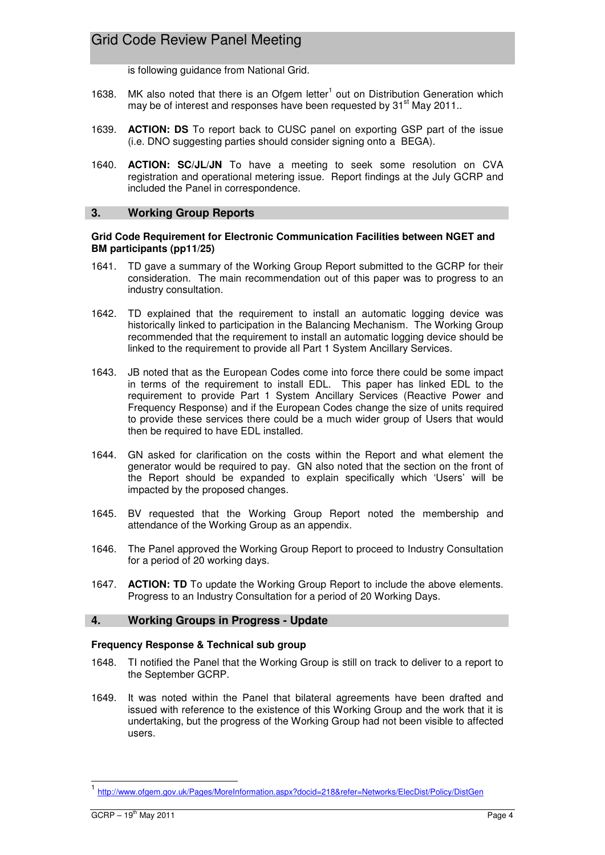is following guidance from National Grid.

- 1638. MK also noted that there is an Ofgem letter $<sup>1</sup>$  out on Distribution Generation which</sup> may be of interest and responses have been requested by 31<sup>st</sup> May 2011..
- 1639. **ACTION: DS** To report back to CUSC panel on exporting GSP part of the issue (i.e. DNO suggesting parties should consider signing onto a BEGA).
- 1640. **ACTION: SC/JL/JN** To have a meeting to seek some resolution on CVA registration and operational metering issue. Report findings at the July GCRP and included the Panel in correspondence.

### **3. Working Group Reports**

### **Grid Code Requirement for Electronic Communication Facilities between NGET and BM participants (pp11/25)**

- 1641. TD gave a summary of the Working Group Report submitted to the GCRP for their consideration. The main recommendation out of this paper was to progress to an industry consultation.
- 1642. TD explained that the requirement to install an automatic logging device was historically linked to participation in the Balancing Mechanism. The Working Group recommended that the requirement to install an automatic logging device should be linked to the requirement to provide all Part 1 System Ancillary Services.
- 1643. JB noted that as the European Codes come into force there could be some impact in terms of the requirement to install EDL. This paper has linked EDL to the requirement to provide Part 1 System Ancillary Services (Reactive Power and Frequency Response) and if the European Codes change the size of units required to provide these services there could be a much wider group of Users that would then be required to have EDL installed.
- 1644. GN asked for clarification on the costs within the Report and what element the generator would be required to pay. GN also noted that the section on the front of the Report should be expanded to explain specifically which 'Users' will be impacted by the proposed changes.
- 1645. BV requested that the Working Group Report noted the membership and attendance of the Working Group as an appendix.
- 1646. The Panel approved the Working Group Report to proceed to Industry Consultation for a period of 20 working days.
- 1647. **ACTION: TD** To update the Working Group Report to include the above elements. Progress to an Industry Consultation for a period of 20 Working Days.

### **4. Working Groups in Progress - Update**

### **Frequency Response & Technical sub group**

- 1648. TI notified the Panel that the Working Group is still on track to deliver to a report to the September GCRP.
- 1649. It was noted within the Panel that bilateral agreements have been drafted and issued with reference to the existence of this Working Group and the work that it is undertaking, but the progress of the Working Group had not been visible to affected users.

 $\overline{\phantom{a}}$ 

<sup>1&</sup>lt;br>http://www.ofgem.gov.uk/Pages/MoreInformation.aspx?docid=218&refer=Networks/ElecDist/Policy/DistGen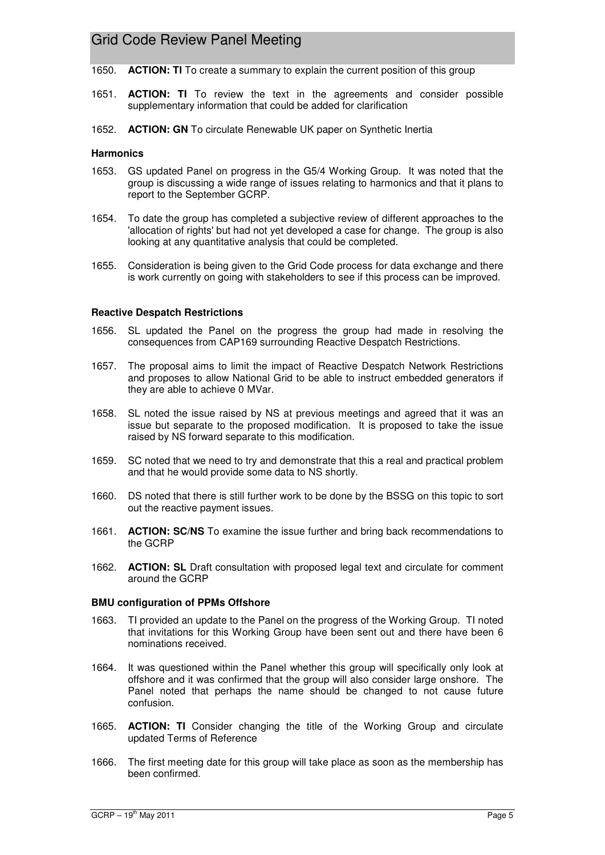- 1650. **ACTION: TI** To create a summary to explain the current position of this group
- 1651. **ACTION: TI** To review the text in the agreements and consider possible supplementary information that could be added for clarification
- 1652. **ACTION: GN** To circulate Renewable UK paper on Synthetic Inertia

#### **Harmonics**

- 1653. GS updated Panel on progress in the G5/4 Working Group. It was noted that the group is discussing a wide range of issues relating to harmonics and that it plans to report to the September GCRP.
- 1654. To date the group has completed a subjective review of different approaches to the 'allocation of rights' but had not yet developed a case for change. The group is also looking at any quantitative analysis that could be completed.
- 1655. Consideration is being given to the Grid Code process for data exchange and there is work currently on going with stakeholders to see if this process can be improved.

#### **Reactive Despatch Restrictions**

- 1656. SL updated the Panel on the progress the group had made in resolving the consequences from CAP169 surrounding Reactive Despatch Restrictions.
- 1657. The proposal aims to limit the impact of Reactive Despatch Network Restrictions and proposes to allow National Grid to be able to instruct embedded generators if they are able to achieve 0 MVar.
- 1658. SL noted the issue raised by NS at previous meetings and agreed that it was an issue but separate to the proposed modification. It is proposed to take the issue raised by NS forward separate to this modification.
- 1659. SC noted that we need to try and demonstrate that this a real and practical problem and that he would provide some data to NS shortly.
- 1660. DS noted that there is still further work to be done by the BSSG on this topic to sort out the reactive payment issues.
- 1661. **ACTION: SC/NS** To examine the issue further and bring back recommendations to the GCRP
- 1662. **ACTION: SL** Draft consultation with proposed legal text and circulate for comment around the GCRP

#### **BMU configuration of PPMs Offshore**

- 1663. TI provided an update to the Panel on the progress of the Working Group. TI noted that invitations for this Working Group have been sent out and there have been 6 nominations received.
- 1664. It was questioned within the Panel whether this group will specifically only look at offshore and it was confirmed that the group will also consider large onshore. The Panel noted that perhaps the name should be changed to not cause future confusion.
- 1665. **ACTION: TI** Consider changing the title of the Working Group and circulate updated Terms of Reference
- 1666. The first meeting date for this group will take place as soon as the membership has been confirmed.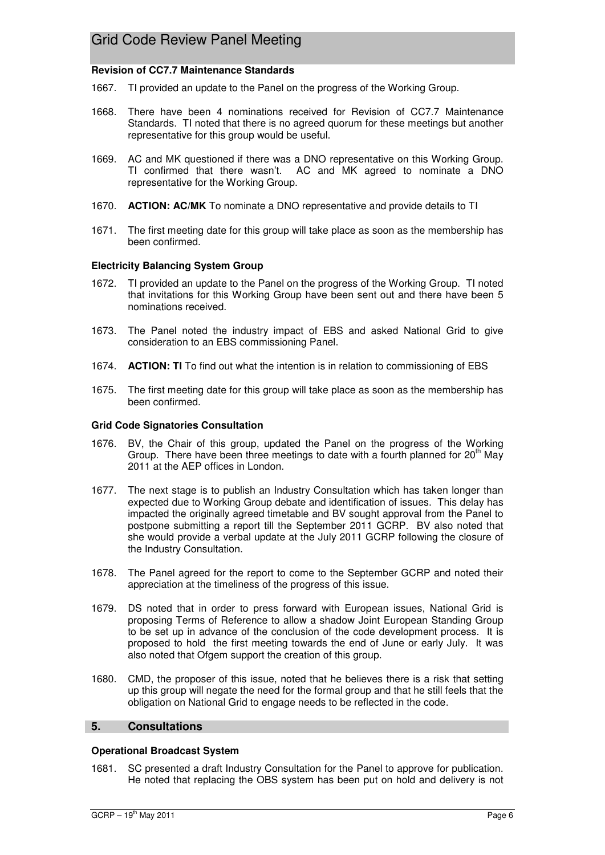### **Revision of CC7.7 Maintenance Standards**

- 1667. TI provided an update to the Panel on the progress of the Working Group.
- 1668. There have been 4 nominations received for Revision of CC7.7 Maintenance Standards. TI noted that there is no agreed quorum for these meetings but another representative for this group would be useful.
- 1669. AC and MK questioned if there was a DNO representative on this Working Group. TI confirmed that there wasn't. AC and MK agreed to nominate a DNO representative for the Working Group.
- 1670. **ACTION: AC/MK** To nominate a DNO representative and provide details to TI
- 1671. The first meeting date for this group will take place as soon as the membership has been confirmed.

### **Electricity Balancing System Group**

- 1672. TI provided an update to the Panel on the progress of the Working Group. TI noted that invitations for this Working Group have been sent out and there have been 5 nominations received.
- 1673. The Panel noted the industry impact of EBS and asked National Grid to give consideration to an EBS commissioning Panel.
- 1674. **ACTION: TI** To find out what the intention is in relation to commissioning of EBS
- 1675. The first meeting date for this group will take place as soon as the membership has been confirmed.

### **Grid Code Signatories Consultation**

- 1676. BV, the Chair of this group, updated the Panel on the progress of the Working Group. There have been three meetings to date with a fourth planned for  $20<sup>th</sup>$  May 2011 at the AEP offices in London.
- 1677. The next stage is to publish an Industry Consultation which has taken longer than expected due to Working Group debate and identification of issues. This delay has impacted the originally agreed timetable and BV sought approval from the Panel to postpone submitting a report till the September 2011 GCRP. BV also noted that she would provide a verbal update at the July 2011 GCRP following the closure of the Industry Consultation.
- 1678. The Panel agreed for the report to come to the September GCRP and noted their appreciation at the timeliness of the progress of this issue.
- 1679. DS noted that in order to press forward with European issues, National Grid is proposing Terms of Reference to allow a shadow Joint European Standing Group to be set up in advance of the conclusion of the code development process. It is proposed to hold the first meeting towards the end of June or early July. It was also noted that Ofgem support the creation of this group.
- 1680. CMD, the proposer of this issue, noted that he believes there is a risk that setting up this group will negate the need for the formal group and that he still feels that the obligation on National Grid to engage needs to be reflected in the code.

### **5. Consultations**

### **Operational Broadcast System**

1681. SC presented a draft Industry Consultation for the Panel to approve for publication. He noted that replacing the OBS system has been put on hold and delivery is not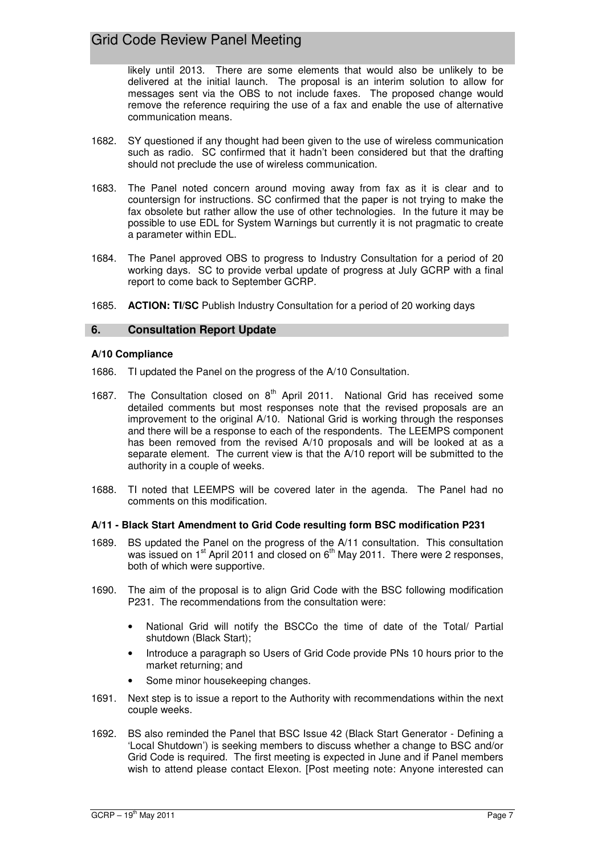likely until 2013. There are some elements that would also be unlikely to be delivered at the initial launch. The proposal is an interim solution to allow for messages sent via the OBS to not include faxes. The proposed change would remove the reference requiring the use of a fax and enable the use of alternative communication means.

- 1682. SY questioned if any thought had been given to the use of wireless communication such as radio. SC confirmed that it hadn't been considered but that the drafting should not preclude the use of wireless communication.
- 1683. The Panel noted concern around moving away from fax as it is clear and to countersign for instructions. SC confirmed that the paper is not trying to make the fax obsolete but rather allow the use of other technologies. In the future it may be possible to use EDL for System Warnings but currently it is not pragmatic to create a parameter within EDL.
- 1684. The Panel approved OBS to progress to Industry Consultation for a period of 20 working days. SC to provide verbal update of progress at July GCRP with a final report to come back to September GCRP.
- 1685. **ACTION: TI/SC** Publish Industry Consultation for a period of 20 working days

### **6. Consultation Report Update**

### **A/10 Compliance**

- 1686. TI updated the Panel on the progress of the A/10 Consultation.
- 1687. The Consultation closed on 8<sup>th</sup> April 2011. National Grid has received some detailed comments but most responses note that the revised proposals are an improvement to the original A/10. National Grid is working through the responses and there will be a response to each of the respondents. The LEEMPS component has been removed from the revised A/10 proposals and will be looked at as a separate element. The current view is that the A/10 report will be submitted to the authority in a couple of weeks.
- 1688. TI noted that LEEMPS will be covered later in the agenda. The Panel had no comments on this modification.

### **A/11 - Black Start Amendment to Grid Code resulting form BSC modification P231**

- 1689. BS updated the Panel on the progress of the A/11 consultation. This consultation was issued on 1<sup>st</sup> April 2011 and closed on 6<sup>th</sup> May 2011. There were 2 responses, both of which were supportive.
- 1690. The aim of the proposal is to align Grid Code with the BSC following modification P231. The recommendations from the consultation were:
	- National Grid will notify the BSCCo the time of date of the Total/ Partial shutdown (Black Start);
	- Introduce a paragraph so Users of Grid Code provide PNs 10 hours prior to the market returning; and
	- Some minor housekeeping changes.
- 1691. Next step is to issue a report to the Authority with recommendations within the next couple weeks.
- 1692. BS also reminded the Panel that BSC Issue 42 (Black Start Generator Defining a 'Local Shutdown') is seeking members to discuss whether a change to BSC and/or Grid Code is required. The first meeting is expected in June and if Panel members wish to attend please contact Elexon. [Post meeting note: Anyone interested can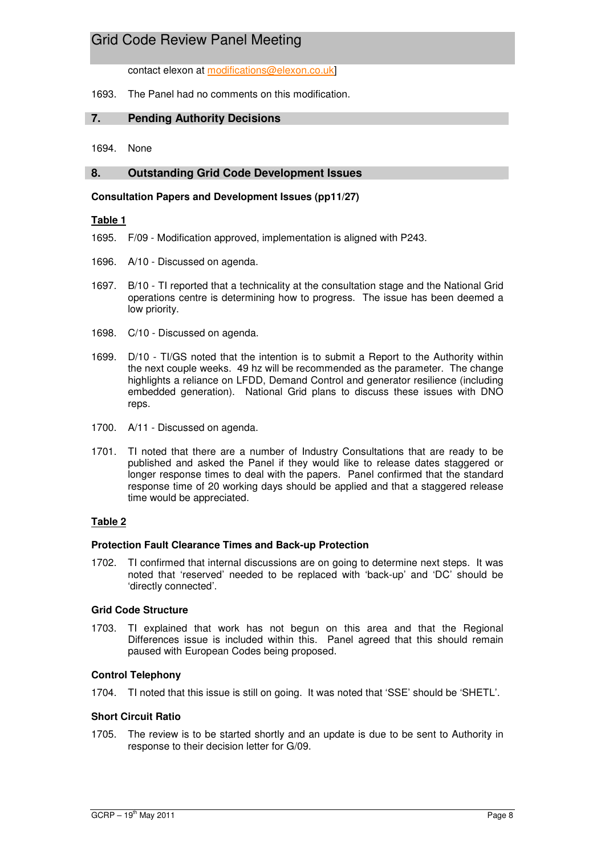contact elexon at modifications@elexon.co.uk]

### 1693. The Panel had no comments on this modification.

### **7. Pending Authority Decisions**

1694. None

### **8. Outstanding Grid Code Development Issues**

### **Consultation Papers and Development Issues (pp11/27)**

### **Table 1**

- 1695. F/09 Modification approved, implementation is aligned with P243.
- 1696. A/10 Discussed on agenda.
- 1697. B/10 TI reported that a technicality at the consultation stage and the National Grid operations centre is determining how to progress. The issue has been deemed a low priority.
- 1698. C/10 Discussed on agenda.
- 1699. D/10 TI/GS noted that the intention is to submit a Report to the Authority within the next couple weeks. 49 hz will be recommended as the parameter. The change highlights a reliance on LFDD, Demand Control and generator resilience (including embedded generation). National Grid plans to discuss these issues with DNO reps.
- 1700. A/11 Discussed on agenda.
- 1701. TI noted that there are a number of Industry Consultations that are ready to be published and asked the Panel if they would like to release dates staggered or longer response times to deal with the papers. Panel confirmed that the standard response time of 20 working days should be applied and that a staggered release time would be appreciated.

### **Table 2**

### **Protection Fault Clearance Times and Back-up Protection**

1702. TI confirmed that internal discussions are on going to determine next steps. It was noted that 'reserved' needed to be replaced with 'back-up' and 'DC' should be 'directly connected'.

### **Grid Code Structure**

1703. TI explained that work has not begun on this area and that the Regional Differences issue is included within this. Panel agreed that this should remain paused with European Codes being proposed.

### **Control Telephony**

1704. TI noted that this issue is still on going. It was noted that 'SSE' should be 'SHETL'.

### **Short Circuit Ratio**

1705. The review is to be started shortly and an update is due to be sent to Authority in response to their decision letter for G/09.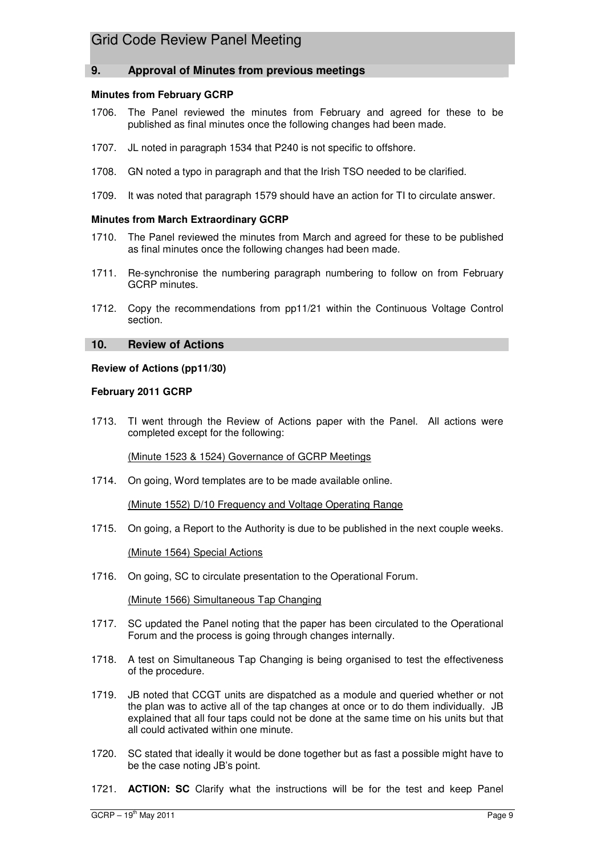### **9. Approval of Minutes from previous meetings**

### **Minutes from February GCRP**

- 1706. The Panel reviewed the minutes from February and agreed for these to be published as final minutes once the following changes had been made.
- 1707. JL noted in paragraph 1534 that P240 is not specific to offshore.
- 1708. GN noted a typo in paragraph and that the Irish TSO needed to be clarified.
- 1709. It was noted that paragraph 1579 should have an action for TI to circulate answer.

### **Minutes from March Extraordinary GCRP**

- 1710. The Panel reviewed the minutes from March and agreed for these to be published as final minutes once the following changes had been made.
- 1711. Re-synchronise the numbering paragraph numbering to follow on from February GCRP minutes.
- 1712. Copy the recommendations from pp11/21 within the Continuous Voltage Control section.

### **10. Review of Actions**

### **Review of Actions (pp11/30)**

### **February 2011 GCRP**

1713. TI went through the Review of Actions paper with the Panel. All actions were completed except for the following:

(Minute 1523 & 1524) Governance of GCRP Meetings

1714. On going, Word templates are to be made available online.

(Minute 1552) D/10 Frequency and Voltage Operating Range

1715. On going, a Report to the Authority is due to be published in the next couple weeks.

(Minute 1564) Special Actions

1716. On going, SC to circulate presentation to the Operational Forum.

(Minute 1566) Simultaneous Tap Changing

- 1717. SC updated the Panel noting that the paper has been circulated to the Operational Forum and the process is going through changes internally.
- 1718. A test on Simultaneous Tap Changing is being organised to test the effectiveness of the procedure.
- 1719. JB noted that CCGT units are dispatched as a module and queried whether or not the plan was to active all of the tap changes at once or to do them individually. JB explained that all four taps could not be done at the same time on his units but that all could activated within one minute.
- 1720. SC stated that ideally it would be done together but as fast a possible might have to be the case noting JB's point.
- 1721. **ACTION: SC** Clarify what the instructions will be for the test and keep Panel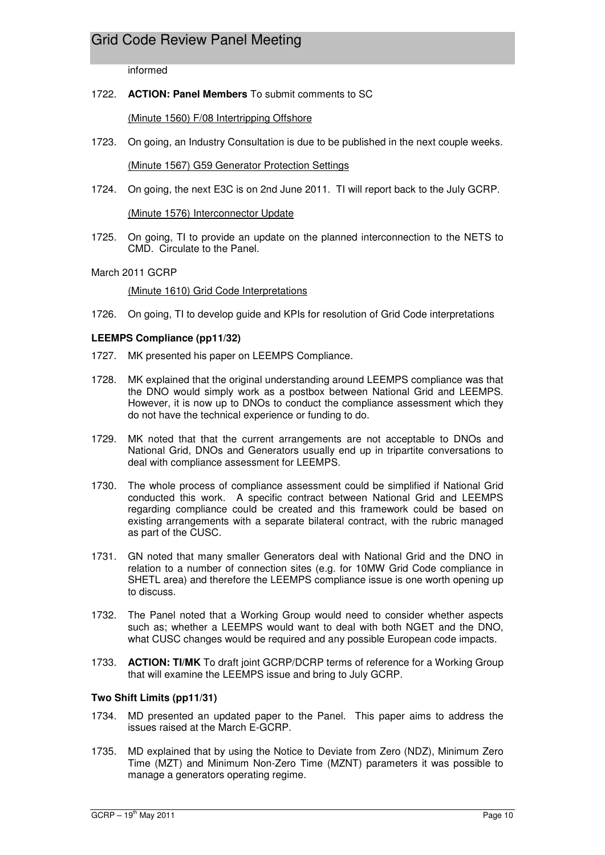informed

### 1722. **ACTION: Panel Members** To submit comments to SC

(Minute 1560) F/08 Intertripping Offshore

1723. On going, an Industry Consultation is due to be published in the next couple weeks.

(Minute 1567) G59 Generator Protection Settings

1724. On going, the next E3C is on 2nd June 2011. TI will report back to the July GCRP.

(Minute 1576) Interconnector Update

1725. On going, TI to provide an update on the planned interconnection to the NETS to CMD. Circulate to the Panel.

### March 2011 GCRP

(Minute 1610) Grid Code Interpretations

1726. On going, TI to develop guide and KPIs for resolution of Grid Code interpretations

### **LEEMPS Compliance (pp11/32)**

- 1727. MK presented his paper on LEEMPS Compliance.
- 1728. MK explained that the original understanding around LEEMPS compliance was that the DNO would simply work as a postbox between National Grid and LEEMPS. However, it is now up to DNOs to conduct the compliance assessment which they do not have the technical experience or funding to do.
- 1729. MK noted that that the current arrangements are not acceptable to DNOs and National Grid, DNOs and Generators usually end up in tripartite conversations to deal with compliance assessment for LEEMPS.
- 1730. The whole process of compliance assessment could be simplified if National Grid conducted this work. A specific contract between National Grid and LEEMPS regarding compliance could be created and this framework could be based on existing arrangements with a separate bilateral contract, with the rubric managed as part of the CUSC.
- 1731. GN noted that many smaller Generators deal with National Grid and the DNO in relation to a number of connection sites (e.g. for 10MW Grid Code compliance in SHETL area) and therefore the LEEMPS compliance issue is one worth opening up to discuss.
- 1732. The Panel noted that a Working Group would need to consider whether aspects such as; whether a LEEMPS would want to deal with both NGET and the DNO, what CUSC changes would be required and any possible European code impacts.
- 1733. **ACTION: TI/MK** To draft joint GCRP/DCRP terms of reference for a Working Group that will examine the LEEMPS issue and bring to July GCRP.

### **Two Shift Limits (pp11/31)**

- 1734. MD presented an updated paper to the Panel. This paper aims to address the issues raised at the March E-GCRP.
- 1735. MD explained that by using the Notice to Deviate from Zero (NDZ), Minimum Zero Time (MZT) and Minimum Non-Zero Time (MZNT) parameters it was possible to manage a generators operating regime.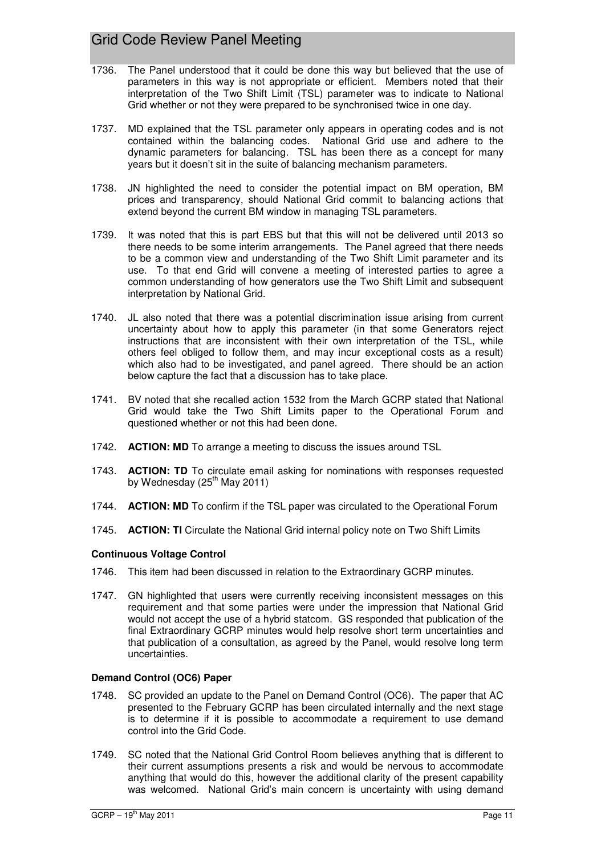- 1736. The Panel understood that it could be done this way but believed that the use of parameters in this way is not appropriate or efficient. Members noted that their interpretation of the Two Shift Limit (TSL) parameter was to indicate to National Grid whether or not they were prepared to be synchronised twice in one day.
- 1737. MD explained that the TSL parameter only appears in operating codes and is not contained within the balancing codes. National Grid use and adhere to the dynamic parameters for balancing. TSL has been there as a concept for many years but it doesn't sit in the suite of balancing mechanism parameters.
- 1738. JN highlighted the need to consider the potential impact on BM operation, BM prices and transparency, should National Grid commit to balancing actions that extend beyond the current BM window in managing TSL parameters.
- 1739. It was noted that this is part EBS but that this will not be delivered until 2013 so there needs to be some interim arrangements. The Panel agreed that there needs to be a common view and understanding of the Two Shift Limit parameter and its use. To that end Grid will convene a meeting of interested parties to agree a common understanding of how generators use the Two Shift Limit and subsequent interpretation by National Grid.
- 1740. JL also noted that there was a potential discrimination issue arising from current uncertainty about how to apply this parameter (in that some Generators reject instructions that are inconsistent with their own interpretation of the TSL, while others feel obliged to follow them, and may incur exceptional costs as a result) which also had to be investigated, and panel agreed. There should be an action below capture the fact that a discussion has to take place.
- 1741. BV noted that she recalled action 1532 from the March GCRP stated that National Grid would take the Two Shift Limits paper to the Operational Forum and questioned whether or not this had been done.
- 1742. **ACTION: MD** To arrange a meeting to discuss the issues around TSL
- 1743. **ACTION: TD** To circulate email asking for nominations with responses requested by Wednesday  $(25<sup>th</sup>$  May 2011)
- 1744. **ACTION: MD** To confirm if the TSL paper was circulated to the Operational Forum
- 1745. **ACTION: TI** Circulate the National Grid internal policy note on Two Shift Limits

### **Continuous Voltage Control**

- 1746. This item had been discussed in relation to the Extraordinary GCRP minutes.
- 1747. GN highlighted that users were currently receiving inconsistent messages on this requirement and that some parties were under the impression that National Grid would not accept the use of a hybrid statcom. GS responded that publication of the final Extraordinary GCRP minutes would help resolve short term uncertainties and that publication of a consultation, as agreed by the Panel, would resolve long term uncertainties.

### **Demand Control (OC6) Paper**

- 1748. SC provided an update to the Panel on Demand Control (OC6). The paper that AC presented to the February GCRP has been circulated internally and the next stage is to determine if it is possible to accommodate a requirement to use demand control into the Grid Code.
- 1749. SC noted that the National Grid Control Room believes anything that is different to their current assumptions presents a risk and would be nervous to accommodate anything that would do this, however the additional clarity of the present capability was welcomed. National Grid's main concern is uncertainty with using demand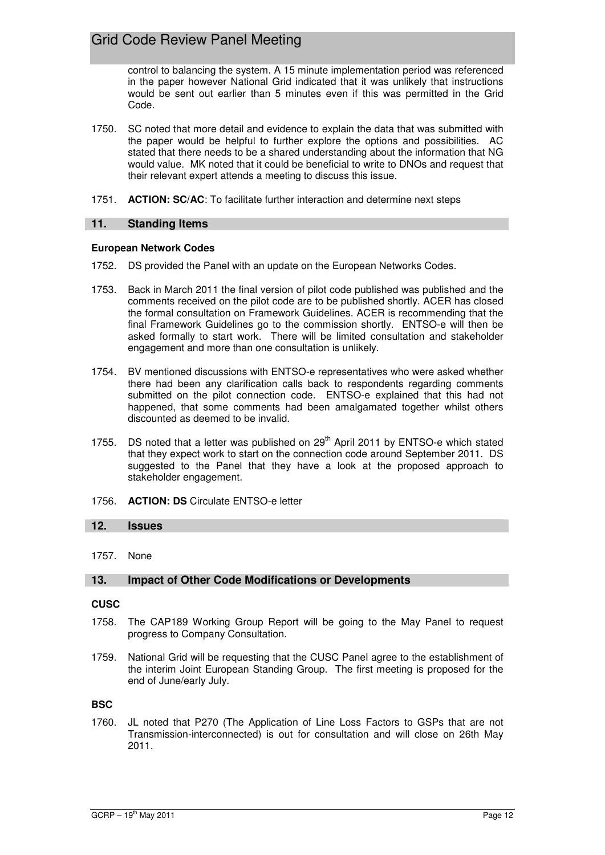control to balancing the system. A 15 minute implementation period was referenced in the paper however National Grid indicated that it was unlikely that instructions would be sent out earlier than 5 minutes even if this was permitted in the Grid Code.

- 1750. SC noted that more detail and evidence to explain the data that was submitted with the paper would be helpful to further explore the options and possibilities. AC stated that there needs to be a shared understanding about the information that NG would value. MK noted that it could be beneficial to write to DNOs and request that their relevant expert attends a meeting to discuss this issue.
- 1751. **ACTION: SC/AC**: To facilitate further interaction and determine next steps

### **11. Standing Items**

### **European Network Codes**

- 1752. DS provided the Panel with an update on the European Networks Codes.
- 1753. Back in March 2011 the final version of pilot code published was published and the comments received on the pilot code are to be published shortly. ACER has closed the formal consultation on Framework Guidelines. ACER is recommending that the final Framework Guidelines go to the commission shortly. ENTSO-e will then be asked formally to start work. There will be limited consultation and stakeholder engagement and more than one consultation is unlikely.
- 1754. BV mentioned discussions with ENTSO-e representatives who were asked whether there had been any clarification calls back to respondents regarding comments submitted on the pilot connection code. ENTSO-e explained that this had not happened, that some comments had been amalgamated together whilst others discounted as deemed to be invalid.
- 1755. DS noted that a letter was published on  $29<sup>th</sup>$  April 2011 by ENTSO-e which stated that they expect work to start on the connection code around September 2011. DS suggested to the Panel that they have a look at the proposed approach to stakeholder engagement.
- 1756. **ACTION: DS** Circulate ENTSO-e letter

### **12. Issues**

1757. None

### **13. Impact of Other Code Modifications or Developments**

### **CUSC**

- 1758. The CAP189 Working Group Report will be going to the May Panel to request progress to Company Consultation.
- 1759. National Grid will be requesting that the CUSC Panel agree to the establishment of the interim Joint European Standing Group. The first meeting is proposed for the end of June/early July.

### **BSC**

1760. JL noted that P270 (The Application of Line Loss Factors to GSPs that are not Transmission-interconnected) is out for consultation and will close on 26th May 2011.